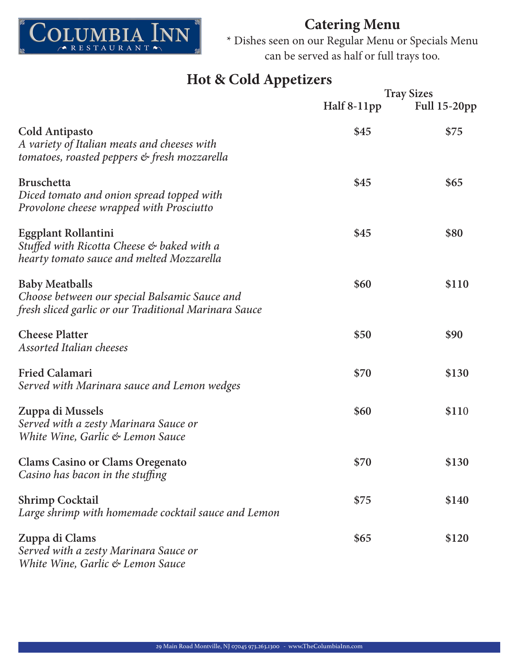

\* Dishes seen on our Regular Menu or Specials Menu can be served as half or full trays too.

# **Hot & Cold Appetizers**

|                                                                                                                                 | <b>Tray Sizes</b> |                     |
|---------------------------------------------------------------------------------------------------------------------------------|-------------------|---------------------|
|                                                                                                                                 | Half 8-11pp       | <b>Full 15-20pp</b> |
| <b>Cold Antipasto</b><br>A variety of Italian meats and cheeses with<br>tomatoes, roasted peppers & fresh mozzarella            | \$45              | \$75                |
| <b>Bruschetta</b><br>Diced tomato and onion spread topped with<br>Provolone cheese wrapped with Prosciutto                      | \$45              | \$65                |
| Eggplant Rollantini<br>Stuffed with Ricotta Cheese & baked with a<br>hearty tomato sauce and melted Mozzarella                  | \$45              | \$80                |
| <b>Baby Meatballs</b><br>Choose between our special Balsamic Sauce and<br>fresh sliced garlic or our Traditional Marinara Sauce | \$60              | \$110               |
| <b>Cheese Platter</b><br><b>Assorted Italian cheeses</b>                                                                        | \$50              | \$90                |
| <b>Fried Calamari</b><br>Served with Marinara sauce and Lemon wedges                                                            | \$70              | \$130               |
| Zuppa di Mussels<br>Served with a zesty Marinara Sauce or<br>White Wine, Garlic & Lemon Sauce                                   | \$60              | \$110               |
| <b>Clams Casino or Clams Oregenato</b><br>Casino has bacon in the stuffing                                                      | \$70              | \$130               |
| <b>Shrimp Cocktail</b><br>Large shrimp with homemade cocktail sauce and Lemon                                                   | \$75              | \$140               |
| Zuppa di Clams<br>Served with a zesty Marinara Sauce or<br>White Wine, Garlic & Lemon Sauce                                     | \$65              | \$120               |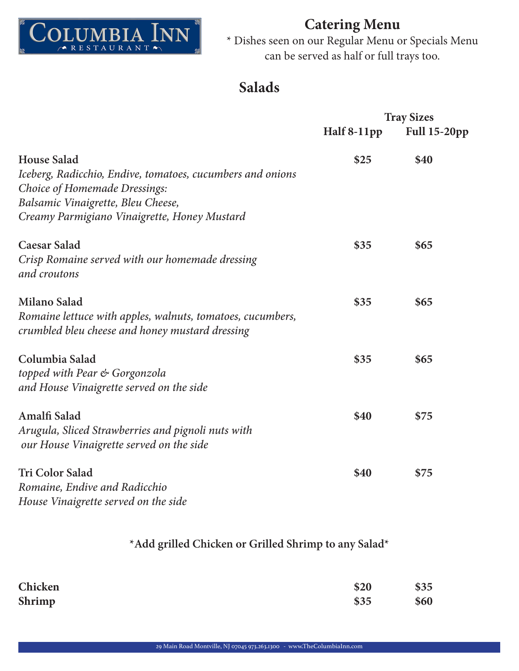

\* Dishes seen on our Regular Menu or Specials Menu can be served as half or full trays too.

# **Salads**

|                                                            | <b>Tray Sizes</b> |                     |
|------------------------------------------------------------|-------------------|---------------------|
|                                                            | Half 8-11pp       | <b>Full 15-20pp</b> |
| <b>House Salad</b>                                         | \$25              | \$40                |
| Iceberg, Radicchio, Endive, tomatoes, cucumbers and onions |                   |                     |
| Choice of Homemade Dressings:                              |                   |                     |
| Balsamic Vinaigrette, Bleu Cheese,                         |                   |                     |
| Creamy Parmigiano Vinaigrette, Honey Mustard               |                   |                     |
| <b>Caesar Salad</b>                                        | \$35              | \$65                |
| Crisp Romaine served with our homemade dressing            |                   |                     |
| and croutons                                               |                   |                     |
| Milano Salad                                               | \$35              | \$65                |
| Romaine lettuce with apples, walnuts, tomatoes, cucumbers, |                   |                     |
| crumbled bleu cheese and honey mustard dressing            |                   |                     |
| Columbia Salad                                             | \$35              | \$65                |
| topped with Pear & Gorgonzola                              |                   |                     |
| and House Vinaigrette served on the side                   |                   |                     |
| <b>Amalfi Salad</b>                                        | \$40              | \$75                |
| Arugula, Sliced Strawberries and pignoli nuts with         |                   |                     |
| our House Vinaigrette served on the side                   |                   |                     |
| <b>Tri Color Salad</b>                                     | \$40              | \$75                |
| Romaine, Endive and Radicchio                              |                   |                     |
| House Vinaigrette served on the side                       |                   |                     |

#### **\*Add grilled Chicken or Grilled Shrimp to any Salad\***

| Chicken | \$20 | \$35 |
|---------|------|------|
| Shrimp  | \$35 | \$60 |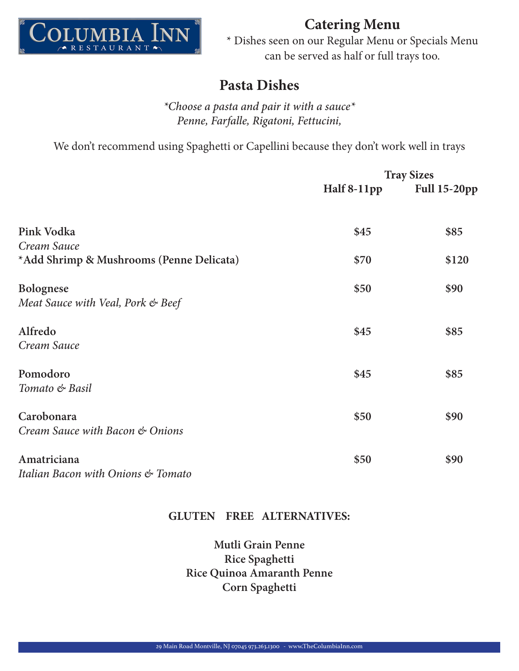

\* Dishes seen on our Regular Menu or Specials Menu can be served as half or full trays too.

### **Pasta Dishes**

*\*Choose a pasta and pair it with a sauce\* Penne, Farfalle, Rigatoni, Fettucini,*

We don't recommend using Spaghetti or Capellini because they don't work well in trays

|                                          | <b>Tray Sizes</b> |                     |
|------------------------------------------|-------------------|---------------------|
|                                          | Half 8-11pp       | <b>Full 15-20pp</b> |
| Pink Vodka                               | \$45              | \$85                |
| Cream Sauce                              |                   |                     |
| *Add Shrimp & Mushrooms (Penne Delicata) | \$70              | \$120               |
| <b>Bolognese</b>                         | \$50              | \$90                |
| Meat Sauce with Veal, Pork & Beef        |                   |                     |
| Alfredo                                  | \$45              | \$85                |
| Cream Sauce                              |                   |                     |
| Pomodoro                                 | \$45              | \$85                |
| Tomato & Basil                           |                   |                     |
| Carobonara                               | \$50              | \$90                |
| Cream Sauce with Bacon & Onions          |                   |                     |
| Amatriciana                              | \$50              | \$90                |
| Italian Bacon with Onions & Tomato       |                   |                     |
|                                          |                   |                     |

#### **GLUTEN FREE ALTERNATIVES:**

**Mutli Grain Penne Rice Spaghetti Rice Quinoa Amaranth Penne Corn Spaghetti**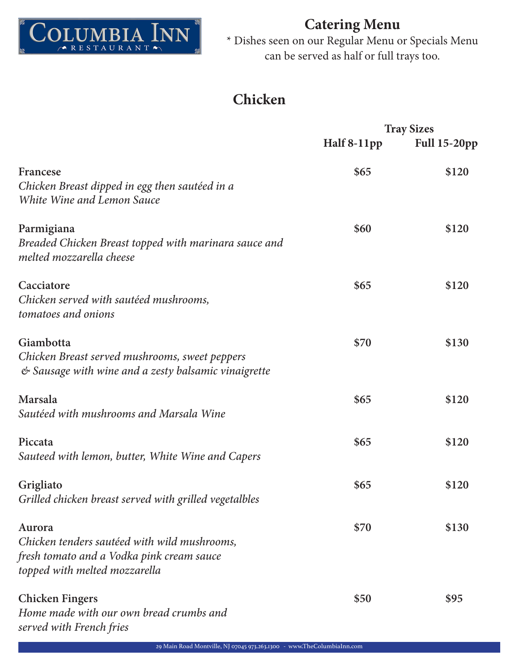

\* Dishes seen on our Regular Menu or Specials Menu can be served as half or full trays too.

# **Chicken**

|                                                                                                                                      |             | <b>Tray Sizes</b>   |
|--------------------------------------------------------------------------------------------------------------------------------------|-------------|---------------------|
|                                                                                                                                      | Half 8-11pp | <b>Full 15-20pp</b> |
| Francese<br>Chicken Breast dipped in egg then sautéed in a<br>White Wine and Lemon Sauce                                             | \$65        | \$120               |
| Parmigiana<br>Breaded Chicken Breast topped with marinara sauce and<br>melted mozzarella cheese                                      | \$60        | \$120               |
| Cacciatore<br>Chicken served with sautéed mushrooms,<br>tomatoes and onions                                                          | \$65        | \$120               |
| Giambotta<br>Chicken Breast served mushrooms, sweet peppers<br>& Sausage with wine and a zesty balsamic vinaigrette                  | \$70        | \$130               |
| Marsala<br>Sautéed with mushrooms and Marsala Wine                                                                                   | \$65        | \$120               |
| Piccata<br>Sauteed with lemon, butter, White Wine and Capers                                                                         | \$65        | \$120               |
| Grigliato<br>Grilled chicken breast served with grilled vegetalbles                                                                  | \$65        | \$120               |
| Aurora<br>Chicken tenders sautéed with wild mushrooms,<br>fresh tomato and a Vodka pink cream sauce<br>topped with melted mozzarella | \$70        | \$130               |
| <b>Chicken Fingers</b><br>Home made with our own bread crumbs and<br>served with French fries                                        | \$50        | \$95                |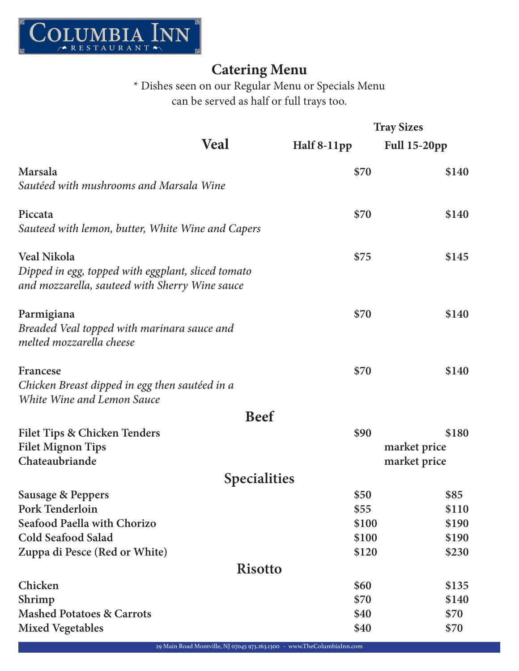

\* Dishes seen on our Regular Menu or Specials Menu can be served as half or full trays too.

|                                                                                                      |             | <b>Tray Sizes</b>   |  |
|------------------------------------------------------------------------------------------------------|-------------|---------------------|--|
| Veal                                                                                                 | Half 8-11pp | <b>Full 15-20pp</b> |  |
| Marsala                                                                                              | \$70        | \$140               |  |
| Sautéed with mushrooms and Marsala Wine                                                              |             |                     |  |
| Piccata                                                                                              | \$70        | \$140               |  |
| Sauteed with lemon, butter, White Wine and Capers                                                    |             |                     |  |
| <b>Veal Nikola</b>                                                                                   | \$75        | \$145               |  |
| Dipped in egg, topped with eggplant, sliced tomato<br>and mozzarella, sauteed with Sherry Wine sauce |             |                     |  |
| Parmigiana                                                                                           | \$70        | \$140               |  |
| Breaded Veal topped with marinara sauce and<br>melted mozzarella cheese                              |             |                     |  |
| Francese                                                                                             | \$70        | \$140               |  |
| Chicken Breast dipped in egg then sautéed in a<br>White Wine and Lemon Sauce                         |             |                     |  |
| <b>Beef</b>                                                                                          |             |                     |  |
| <b>Filet Tips &amp; Chicken Tenders</b>                                                              | \$90        | \$180               |  |
| <b>Filet Mignon Tips</b>                                                                             |             | market price        |  |
| Chateaubriande                                                                                       |             | market price        |  |
| <b>Specialities</b>                                                                                  |             |                     |  |
| <b>Sausage &amp; Peppers</b>                                                                         | \$50        | \$85                |  |
| Pork Tenderloin                                                                                      | \$55        | \$110               |  |
| Seafood Paella with Chorizo                                                                          | \$100       | \$190               |  |
| <b>Cold Seafood Salad</b>                                                                            | \$100       | \$190               |  |
| Zuppa di Pesce (Red or White)                                                                        | \$120       | \$230               |  |
| <b>Risotto</b>                                                                                       |             |                     |  |
| Chicken                                                                                              | \$60        | \$135               |  |
| Shrimp                                                                                               | \$70        | \$140               |  |
| <b>Mashed Potatoes &amp; Carrots</b>                                                                 | \$40        | \$70                |  |
| <b>Mixed Vegetables</b>                                                                              | \$40        | \$70                |  |